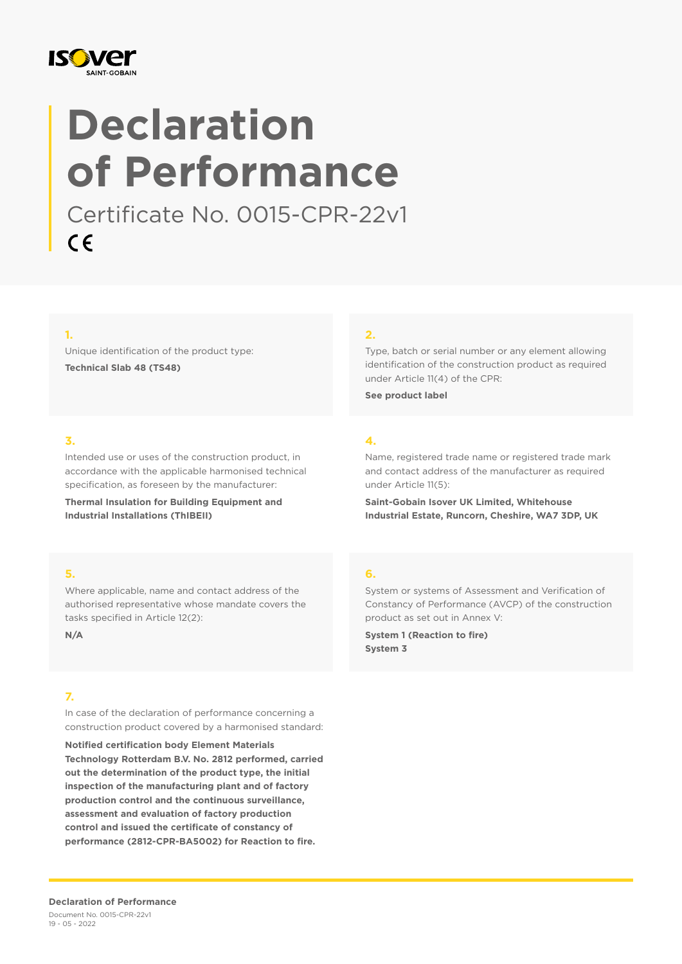

# **Declaration of Performance**

Certificate No. 0015-CPR-22v1 $C \in$ 

### **1.**

Unique identification of the product type: **Technical Slab 48 (TS48)**

### **2.**

Type, batch or serial number or any element allowing identification of the construction product as required under Article 11(4) of the CPR:

Name, registered trade name or registered trade mark and contact address of the manufacturer as required

**Saint-Gobain Isover UK Limited, Whitehouse Industrial Estate, Runcorn, Cheshire, WA7 3DP, UK**

**See product label**

under Article 11(5):

### **3.**

Intended use or uses of the construction product, in accordance with the applicable harmonised technical specification, as foreseen by the manufacturer:

**Thermal Insulation for Building Equipment and Industrial Installations (ThIBEII)**

### **5.**

Where applicable, name and contact address of the authorised representative whose mandate covers the tasks specified in Article 12(2):

**N/A**

### **7.**

In case of the declaration of performance concerning a construction product covered by a harmonised standard:

**Notified certification body Element Materials Technology Rotterdam B.V. No. 2812 performed, carried out the determination of the product type, the initial inspection of the manufacturing plant and of factory production control and the continuous surveillance, assessment and evaluation of factory production control and issued the certificate of constancy of performance (2812-CPR-BA5002) for Reaction to fire.**

**4.**

### **6.**

System or systems of Assessment and Verification of Constancy of Performance (AVCP) of the construction product as set out in Annex V:

**System 1 (Reaction to fire) System 3**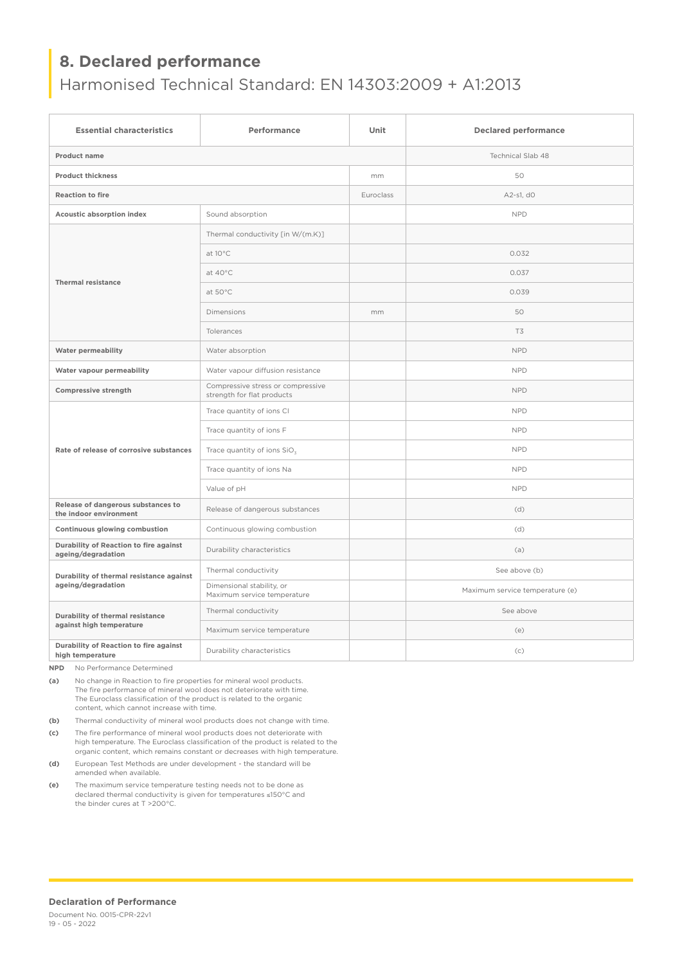## **8. Declared performance**

# Harmonised Technical Standard: EN 14303:2009 + A1:2013

| <b>Essential characteristics</b>                               | Performance                                                     | Unit      | <b>Declared performance</b>     |
|----------------------------------------------------------------|-----------------------------------------------------------------|-----------|---------------------------------|
| <b>Product name</b>                                            |                                                                 |           | <b>Technical Slab 48</b>        |
| <b>Product thickness</b>                                       |                                                                 | mm        | 50                              |
| <b>Reaction to fire</b>                                        |                                                                 | Euroclass | A2-s1, d0                       |
| Acoustic absorption index                                      | Sound absorption                                                |           | <b>NPD</b>                      |
| <b>Thermal resistance</b>                                      | Thermal conductivity [in W/(m.K)]                               |           |                                 |
|                                                                | at $10^{\circ}$ C                                               |           | 0.032                           |
|                                                                | at 40°C                                                         |           | 0.037                           |
|                                                                | at 50°C                                                         |           | 0.039                           |
|                                                                | <b>Dimensions</b>                                               | mm        | 50                              |
|                                                                | Tolerances                                                      |           | T3                              |
| <b>Water permeability</b>                                      | Water absorption                                                |           | <b>NPD</b>                      |
| Water vapour permeability                                      | Water vapour diffusion resistance                               |           | <b>NPD</b>                      |
| Compressive strength                                           | Compressive stress or compressive<br>strength for flat products |           | <b>NPD</b>                      |
| Rate of release of corrosive substances                        | Trace quantity of ions CI                                       |           | <b>NPD</b>                      |
|                                                                | Trace quantity of ions F                                        |           | <b>NPD</b>                      |
|                                                                | Trace quantity of ions SiO <sub>3</sub>                         |           | <b>NPD</b>                      |
|                                                                | Trace quantity of ions Na                                       |           | <b>NPD</b>                      |
|                                                                | Value of pH                                                     |           | <b>NPD</b>                      |
| Release of dangerous substances to<br>the indoor environment   | Release of dangerous substances                                 |           | (d)                             |
| Continuous glowing combustion                                  | Continuous glowing combustion                                   |           | (d)                             |
| Durability of Reaction to fire against<br>ageing/degradation   | Durability characteristics                                      |           | (a)                             |
| Durability of thermal resistance against<br>ageing/degradation | Thermal conductivity                                            |           | See above (b)                   |
|                                                                | Dimensional stability, or<br>Maximum service temperature        |           | Maximum service temperature (e) |
| Durability of thermal resistance<br>against high temperature   | Thermal conductivity                                            |           | See above                       |
|                                                                | Maximum service temperature                                     |           | (e)                             |
| Durability of Reaction to fire against<br>high temperature     | Durability characteristics                                      |           | (c)                             |

**NPD** No Performance Determined

**(a)** No change in Reaction to fire properties for mineral wool products. The fire performance of mineral wool does not deteriorate with time. The Euroclass classification of the product is related to the organic content, which cannot increase with time.

**(b)** Thermal conductivity of mineral wool products does not change with time.

**(c)** The fire performance of mineral wool products does not deteriorate with high temperature. The Euroclass classification of the product is related to the organic content, which remains constant or decreases with high temperature.

- **(d)** European Test Methods are under development the standard will be amended when available.
- **(e)** The maximum service temperature testing needs not to be done as declared thermal conductivity is given for temperatures ≤150°C and the binder cures at T >200°C.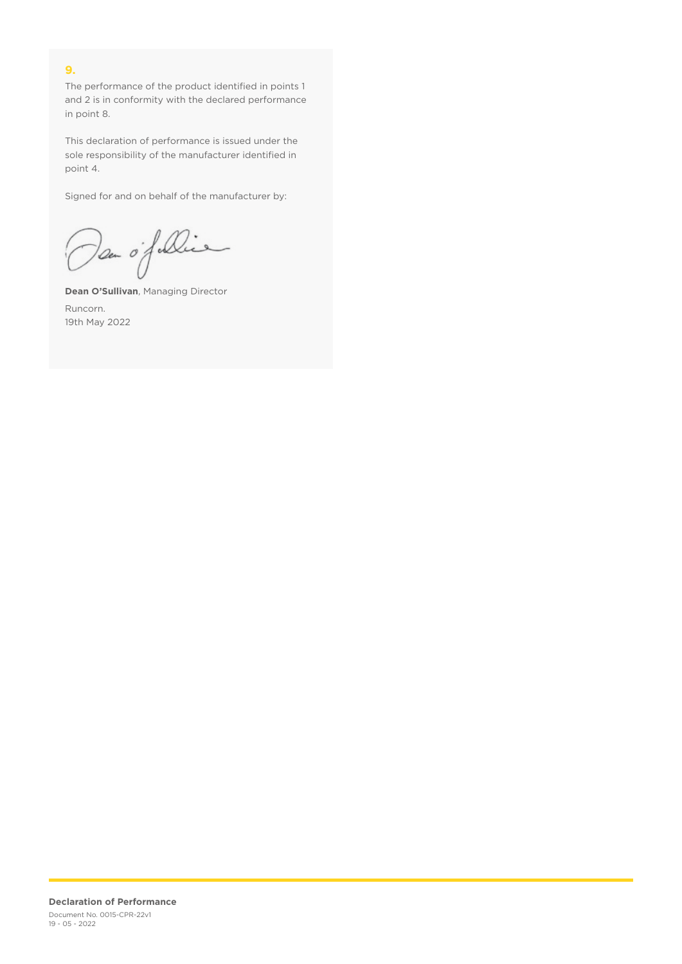### **9.**

The performance of the product identified in points 1 and 2 is in conformity with the declared performance in point 8.

This declaration of performance is issued under the sole responsibility of the manufacturer identified in point 4.

Signed for and on behalf of the manufacturer by:

Dan of Die

**Dean O'Sullivan**, Managing Director Runcorn. 19th May 2022